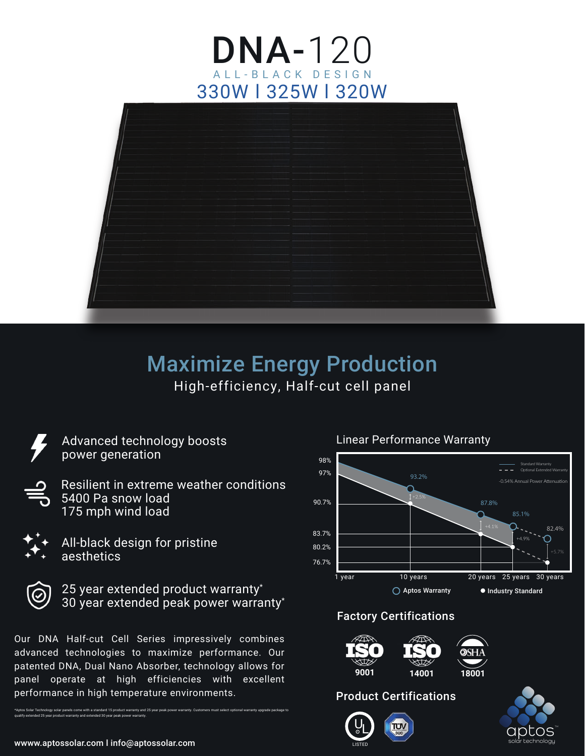# DNA-120 330W l 325W l 320W BLACK DESIGN



# High-efficiency, Half-cut cell panel Maximize Energy Production



Advanced technology boosts power generation

Resilient in extreme weather conditions 5400 Pa snow load 175 mph wind load





25 year extended product warranty\* 30 year extended peak power warranty\*

Our DNA Half-cut Cell Series impressively combines advanced technologies to maximize performance. Our patented DNA, Dual Nano Absorber, technology allows for panel operate at high efficiencies with excellent performance in high temperature environments.

\*Aptos Solar Technology solar panels come with a standard 15 product warranty and 25 year peak power warranty. Customers must select optional warranty upgrade package to

-0.54% Annual Pow 1 year 10 years 93.2% 90.7% 87.8% 80.2% ◯ Aptos Warranty ● Industry Standard 98% 97% 20 years 25 years 30 years 76.7% 83.7% +4.9% 85.1% 82.4% Standard Warranty  $=$   $=$   $\frac{1}{2}$  Optional

Linear Performance Warranty

#### Factory Certifications



#### Product Certifications

U  $\overline{\mathbf{S}}$ LISTED